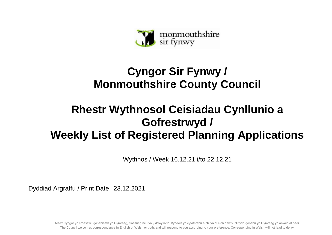

## **Cyngor Sir Fynwy / Monmouthshire County Council**

## **Rhestr Wythnosol Ceisiadau Cynllunio a Gofrestrwyd / Weekly List of Registered Planning Applications**

Wythnos / Week 16.12.21 i/to 22.12.21

Dyddiad Argraffu / Print Date 23.12.2021

Mae'r Cyngor yn croesawu gohebiaeth yn Gymraeg, Saesneg neu yn y ddwy iaith. Byddwn yn cyfathrebu â chi yn ôl eich dewis. Ni fydd gohebu yn Gymraeg yn arwain at oedi. The Council welcomes correspondence in English or Welsh or both, and will respond to you according to your preference. Corresponding in Welsh will not lead to delay.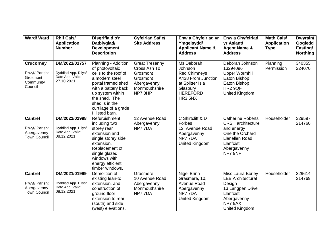| <b>Ward/Ward</b>                                                       | <b>Rhif Cais/</b><br><b>Application</b><br><b>Number</b>               | Disgrifia d o'r<br>Datblygiad/<br><b>Development</b><br><b>Description</b>                                                                                                                                                      | <b>Cyfeiriad Safle/</b><br><b>Site Address</b>                                                          | Enw a Chyfeiriad yr<br>Ymgeisydd/<br><b>Applicant Name &amp;</b><br><b>Address</b>                                               | <b>Enw a Chyfeiriad</b><br>yr Asiant/<br><b>Agent Name &amp;</b><br><b>Address</b>                                                             | <b>Math Cais/</b><br><b>Application</b><br><b>Type</b> | Dwyrain/<br>Gogledd<br>Easting/<br><b>Northing</b> |
|------------------------------------------------------------------------|------------------------------------------------------------------------|---------------------------------------------------------------------------------------------------------------------------------------------------------------------------------------------------------------------------------|---------------------------------------------------------------------------------------------------------|----------------------------------------------------------------------------------------------------------------------------------|------------------------------------------------------------------------------------------------------------------------------------------------|--------------------------------------------------------|----------------------------------------------------|
| <b>Crucorney</b><br>Plwyf/ Parish:<br>Grosmont<br>Community<br>Council | DM/2021/01757<br>Dyddiad App. Dilys/<br>Date App. Valid:<br>27.10.2021 | Planning - Addition<br>of photovoltaic<br>cells to the roof of<br>a modern steel<br>portal framed shed<br>with a battery back<br>up system within<br>the shed. The<br>shed is in the<br>curtilage of a grade<br>II listed barn. | <b>Great Tresenny</b><br>Cross Ash To<br>Grosmont<br>Grosmont<br>Abergavenny<br>Monmouthshire<br>NP78HP | Ms Deborah<br>Johnson<br><b>Red Chimneys</b><br>A438 From Junction<br>at Splitter Isla<br>Glasbury<br><b>HEREFORD</b><br>HR3 5NX | Deborah Johnson<br>13294096<br><b>Upper Wormhill</b><br>Eaton Bishop<br>Eaton Bishop<br><b>HR2 9QF</b><br>United Kingdom                       | Planning<br>Permission                                 | 340355<br>224070                                   |
| <b>Cantref</b><br>Plwyf/ Parish:<br>Abergavenny<br><b>Town Council</b> | DM/2021/01998<br>Dyddiad App. Dilys/<br>Date App. Valid:<br>08.12.2021 | Refurbishment<br>including two<br>storey rear<br>extension and<br>single storey side<br>extension.<br>Replacement of<br>single glazed<br>windows with<br>energy efficient<br>timber windows.                                    | 12 Avenue Road<br>Abergavenny<br>NP77DA                                                                 | C Shirtcliff & D<br>Forbes<br>12, Avenue Road<br>Abergavenny<br>NP77DA<br>United Kingdom                                         | <b>Catherine Roberts</b><br><b>CRSH</b> architecture<br>and energy<br>One the Orchard<br>Llanellen Road<br>Llanfoist<br>Abergavenny<br>NP7 9NF | Householder                                            | 329597<br>214760                                   |
| <b>Cantref</b><br>Plwyf/ Parish:<br>Abergavenny<br><b>Town Council</b> | DM/2021/01999<br>Dyddiad App. Dilys/<br>Date App. Valid:<br>08.12.2021 | Demolition of<br>existing lean-to<br>extension, and<br>construction of<br>ground floor<br>extension to rear<br>(south) and side<br>(west) elevations.                                                                           | Grasmere<br>10 Avenue Road<br>Abergavenny<br>Monmouthshire<br>NP77DA                                    | Nigel Brinn<br>Grasmere, 10,<br>Avenue Road<br>Abergavenny<br>NP77DA<br><b>United Kingdom</b>                                    | Miss Laura Borley<br><b>LEB Architectural</b><br>Design<br>13 Langpen Drive<br>Llanfoist<br>Abergavenny<br>NP7 9AX<br>United Kingdom           | Householder                                            | 329614<br>214769                                   |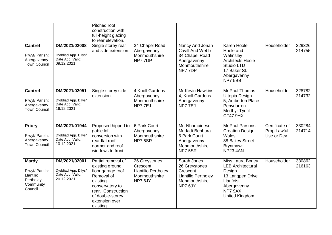|                                                                                  |                                                                        | Pitched roof<br>construction with<br>full-height glazing<br>to rear elevation.                                                                                                   |                                                                                    |                                                                                                    |                                                                                                                                             |                                             |                  |
|----------------------------------------------------------------------------------|------------------------------------------------------------------------|----------------------------------------------------------------------------------------------------------------------------------------------------------------------------------|------------------------------------------------------------------------------------|----------------------------------------------------------------------------------------------------|---------------------------------------------------------------------------------------------------------------------------------------------|---------------------------------------------|------------------|
| <b>Cantref</b><br>Plwyf/ Parish:<br>Abergavenny<br><b>Town Council</b>           | DM/2021/02008<br>Dyddiad App. Dilys/<br>Date App. Valid:<br>09.12.2021 | Single storey rear<br>and side extension.                                                                                                                                        | 34 Chapel Road<br>Abergavenny<br>Monmouthshire<br>NP77DP                           | Nancy And Jonah<br>Cavill And Webb<br>34 Chapel Road<br>Abergavenny<br>Monmouthshire<br>NP77DP     | Karen Hoole<br>Hoole and<br>Walmsley<br><b>Architects Hoole</b><br>Studio LTD<br>17 Baker St.<br>Abergavenny<br>NP75BB                      | Householder                                 | 329326<br>214755 |
| <b>Cantref</b><br>Plwyf/ Parish:<br>Abergavenny<br><b>Town Council</b>           | DM/2021/02051<br>Dyddiad App. Dilys/<br>Date App. Valid:<br>16.12.2021 | Single storey side<br>extension.                                                                                                                                                 | 4 Knoll Gardens<br>Abergavenny<br>Monmouthshire<br>NP77EJ                          | Mr Kevin Hawkins<br>4, Knoll Gardens<br>Abergavenny<br>NP77EJ                                      | Mr Paul Thomas<br><b>Ultopia Design</b><br>5, Amberton Place<br>Penydarren<br>Merthyr Tydfil<br>CF47 9HX                                    | Householder                                 | 328782<br>214732 |
| <b>Priory</b><br>Plwyf/ Parish:<br>Abergavenny<br><b>Town Council</b>            | DM/2021/01944<br>Dyddiad App. Dilys/<br>Date App. Valid:<br>10.12.2021 | Proposed hipped to<br>gable loft<br>conversion with<br>rear flat roof<br>dormer and roof<br>windows to front.                                                                    | 6 Park Court<br>Abergavenny<br>Monmouthshire<br>NP7 5SR                            | Mr. Nhamoinesu<br>Mudadi-Benhura<br>6 Park Court<br>Abergavenny<br>Monmouthshire<br>NP7 5SR        | Mr Paul Parsons<br><b>Creation Design</b><br>Wales<br>88 Bailey Street<br><b>Brynmawr</b><br><b>NP23 4AN</b>                                | Certificate of<br>Prop Lawful<br>Use or Dev | 330284<br>214714 |
| <b>Mardy</b><br>Plwyf/ Parish:<br>Llantilio<br>Pertholey<br>Community<br>Council | DM/2021/02001<br>Dyddiad App. Dilys/<br>Date App. Valid:<br>20.12.2021 | Partial removal of<br>existing ground<br>floor garage roof.<br>Removal of<br>existing<br>conservatory to<br>rear. Construction<br>of double-storey<br>extension over<br>existing | 26 Greystones<br>Crescent<br><b>Llantilio Pertholey</b><br>Monmouthshire<br>NP76JY | Sarah Jones<br>26 Greystones<br>Crescent<br><b>Llantilio Pertholey</b><br>Monmouthshire<br>NP7 6JY | <b>Miss Laura Borley</b><br><b>LEB Architectural</b><br>Design<br>13 Langpen Drive<br>Llanfoist<br>Abergavenny<br>NP7 9AX<br>United Kingdom | Householder                                 | 330862<br>216163 |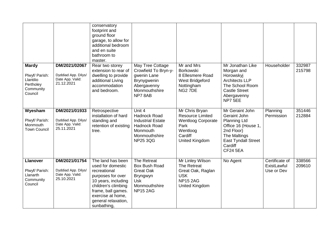|                                                                                  |                                                                        | conservatory<br>footprint and<br>ground floor<br>garage, to allow for<br>additional bedroom<br>and en suite<br>bathroom to<br>master.                                                                      |                                                                                                                    |                                                                                                                                |                                                                                                                                                                         |                                             |                  |
|----------------------------------------------------------------------------------|------------------------------------------------------------------------|------------------------------------------------------------------------------------------------------------------------------------------------------------------------------------------------------------|--------------------------------------------------------------------------------------------------------------------|--------------------------------------------------------------------------------------------------------------------------------|-------------------------------------------------------------------------------------------------------------------------------------------------------------------------|---------------------------------------------|------------------|
| <b>Mardy</b><br>Plwyf/ Parish:<br>Llantilio<br>Pertholey<br>Community<br>Council | DM/2021/02067<br>Dyddiad App. Dilys/<br>Date App. Valid:<br>21.12.2021 | Rear two storey<br>extension to rear of<br>dwelling to provide<br>additional Living<br>accommodation<br>and bedroom.                                                                                       | May Tree Cottage<br>Crowfield To Bryn-y-<br>gwenin Lane<br>Brynygwenin<br>Abergavenny<br>Monmouthshire<br>NP78AB   | Mr and Mrs<br>Borkowski<br>8 Ellesmere Road<br>West Bridgeford<br>Nottingham<br>NG <sub>2</sub> 7DE                            | Mr Jonathan Like<br>Morgan and<br>Horowskyj<br><b>Architects LLP</b><br>The School Room<br><b>Castle Street</b><br>Abergavenny<br>NP7 5EE                               | Householder                                 | 332987<br>215798 |
| Wyesham<br>Plwyf/ Parish:<br>Monmouth<br><b>Town Council</b>                     | DM/2021/01933<br>Dyddiad App. Dilys/<br>Date App. Valid:<br>25.11.2021 | Retrospective<br>installation of hard<br>standing and<br>retention of existing<br>tree.                                                                                                                    | Unit 4<br>Hadnock Road<br><b>Industrial Estate</b><br>Hadnock Road<br>Monmouth<br>Monmouthshire<br><b>NP25 3QG</b> | Mr Chris Bryan<br><b>Resource Limited</b><br><b>Wentloog Corporate</b><br>Park<br>Wentloog<br>Cardiff<br><b>United Kingdom</b> | Mr Geraint John<br>Geraint John<br><b>Planning Ltd</b><br>Office 16 (House 1,<br>2nd Floor)<br>The Maltings<br><b>East Tyndall Street</b><br>Cardiff<br><b>CF24 5EA</b> | Planning<br>Permission                      | 351446<br>212884 |
| <b>Llanover</b><br>Plwyf/ Parish:<br>Llanarth<br>Community<br>Council            | DM/2021/01754<br>Dyddiad App. Dilys/<br>Date App. Valid:<br>25.10.2021 | The land has been<br>used for domestic<br>recreational<br>purposes for over<br>10 years, including<br>children's climbing<br>frame, ball games.<br>exercise at home,<br>general relaxation,<br>sunbathing, | The Retreat<br>Box Bush Road<br><b>Great Oak</b><br>Bryngwyn<br><b>Usk</b><br>Monmouthshire<br><b>NP15 2AG</b>     | Mr Linley Wilson<br>The Retreat<br>Great Oak, Raglan<br><b>USK</b><br><b>NP15 2AG</b><br>United Kingdom                        | No Agent                                                                                                                                                                | Certificate of<br>ExistLawful<br>Use or Dev | 338566<br>209610 |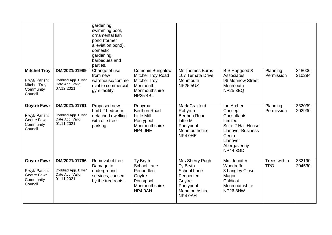|                                                                                      |                                                                        | gardening,<br>swimming pool,<br>ornamental fish<br>pond (former<br>alleviation pond),<br>domestic<br>gardening,<br>barbeques and<br>parties. |                                                                                                                     |                                                                                                                     |                                                                                                                                                           |                            |                  |
|--------------------------------------------------------------------------------------|------------------------------------------------------------------------|----------------------------------------------------------------------------------------------------------------------------------------------|---------------------------------------------------------------------------------------------------------------------|---------------------------------------------------------------------------------------------------------------------|-----------------------------------------------------------------------------------------------------------------------------------------------------------|----------------------------|------------------|
| <b>Mitchel Troy</b><br>Plwyf/ Parish:<br><b>Mitchel Troy</b><br>Community<br>Council | DM/2021/01989<br>Dyddiad App. Dilys/<br>Date App. Valid:<br>07.12.2021 | Change of use<br>from new<br>warehouse/comme<br>rcial to commercial<br>gym facility.                                                         | Comonin Bungalow<br>Mitchel Troy Road<br><b>Mitchel Troy</b><br><b>Monmouth</b><br>Monmouthshire<br><b>NP25 4BL</b> | Mr Thomes Burns<br>107 Ternata Drive<br>Monmouth<br><b>NP25 5UZ</b>                                                 | B S Hapgood &<br>Associates<br>96 Monnow Street<br>Monmouth<br><b>NP25 3EQ</b>                                                                            | Planning<br>Permission     | 348006<br>210294 |
| <b>Goytre Fawr</b><br>Plwyf/ Parish:<br>Goetre Fawr<br>Community<br>Council          | DM/2021/01781<br>Dyddiad App. Dilys/<br>Date App. Valid:<br>01.11.2021 | Proposed new<br>build 2 bedroom<br>detached dwelling<br>with off street<br>parking.                                                          | Robyrna<br><b>Berthon Road</b><br><b>Little Mill</b><br>Pontypool<br>Monmouthshire<br>NP4 OHE                       | Mark Craxford<br>Robyrna<br><b>Berthon Road</b><br><b>Little Mill</b><br>Pontypool<br>Monmouthshire<br>NP4 OHE      | Ian Archer<br>Concept<br>Consultants<br>Limited<br>Suite 2 Hall House<br><b>Llanover Business</b><br>Centre<br>Llanover<br>Abergavenny<br><b>NP44 3GD</b> | Planning<br>Permission     | 332039<br>202930 |
| <b>Goytre Fawr</b><br>Plwyf/ Parish:<br>Goetre Fawr<br>Community<br>Council          | DM/2021/01796<br>Dyddiad App. Dilys/<br>Date App. Valid:<br>01.11.2021 | Removal of tree.<br>Damage to<br>underground<br>services, caused<br>by the tree roots.                                                       | Ty Bryth<br><b>School Lane</b><br>Penperlleni<br>Goytre<br>Pontypool<br>Monmouthshire<br>NP4 0AH                    | Mrs Sherry Pugh<br>Ty Bryth<br><b>School Lane</b><br>Penperlleni<br>Goytre<br>Pontypool<br>Monmouthshire<br>NP4 0AH | Mrs Jennifer<br>Woodroffe<br>3 Langley Close<br>Magor<br>Caldicot<br>Monmouthshire<br>NP26 3HW                                                            | Trees with a<br><b>TPO</b> | 332190<br>204530 |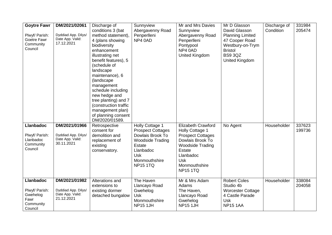| <b>Goytre Fawr</b><br>Plwyf/ Parish:<br>Goetre Fawr<br>Community<br>Council    | DM/2021/02061<br>Dyddiad App. Dilys/<br>Date App. Valid:<br>17.12.2021 | Discharge of<br>conditions 3 (bat<br>method statement),<br>4 (plans showing<br>biodiversity<br>enhancement<br>illustrating net<br>benefit features), 5<br>(schedule of<br>landscape<br>maintenance), 6<br>(landscape<br>management<br>schedule including<br>new hedge and<br>tree planting) and 7<br>(construction traffic<br>management plan)<br>of planning consent<br>DM/2020/01589. | Sunnyview<br>Abergavenny Road<br>Penperlleni<br>NP4 0AD                                                                                                                    | Mr and Mrs Davies<br>Sunnyview<br>Abergavenny Road<br>Penperlleni<br>Pontypool<br>NP4 0AD<br><b>United Kingdom</b>                                                                        | Mr D Glasson<br>David Glasson<br><b>Planning Limited</b><br>47 Cooper Road<br>Westbury-on-Trym<br><b>Bristol</b><br><b>BS9 3QZ</b><br><b>United Kingdom</b> | Discharge of<br>Condition | 331984<br>205474 |
|--------------------------------------------------------------------------------|------------------------------------------------------------------------|-----------------------------------------------------------------------------------------------------------------------------------------------------------------------------------------------------------------------------------------------------------------------------------------------------------------------------------------------------------------------------------------|----------------------------------------------------------------------------------------------------------------------------------------------------------------------------|-------------------------------------------------------------------------------------------------------------------------------------------------------------------------------------------|-------------------------------------------------------------------------------------------------------------------------------------------------------------|---------------------------|------------------|
| <b>Llanbadoc</b><br>Plwyf/ Parish:<br>Llanbadoc<br>Community<br>Council        | DM/2021/01966<br>Dyddiad App. Dilys/<br>Date App. Valid:<br>30.11.2021 | Retrospective<br>consent for<br>demolition and<br>replacement of<br>existing<br>conservatory.                                                                                                                                                                                                                                                                                           | Holly Cottage 1<br><b>Prospect Cottages</b><br>Dowlais Brook To<br><b>Woodside Trading</b><br><b>Estate</b><br>Llanbadoc<br><b>Usk</b><br>Monmouthshire<br><b>NP15 1TQ</b> | <b>Elizabeth Crawford</b><br>Holly Cottage 1<br><b>Prospect Cottages</b><br>Dowlais Brook To<br><b>Woodside Trading</b><br>Estate<br>Llanbadoc<br>Usk<br>Monmouthshire<br><b>NP15 1TQ</b> | No Agent                                                                                                                                                    | Householder               | 337623<br>199736 |
| <b>Llanbadoc</b><br>Plwyf/ Parish:<br>Gwehelog<br>Fawr<br>Community<br>Council | DM/2021/01982<br>Dyddiad App. Dilys/<br>Date App. Valid:<br>21.12.2021 | Alterations and<br>extensions to<br>existing dormer<br>detached bungalow                                                                                                                                                                                                                                                                                                                | The Haven<br>Llancayo Road<br>Gwehelog<br><b>Usk</b><br>Monmouthshire<br>NP151JH                                                                                           | Mr & Mrs Adam<br>Adams<br>The Haven,<br>Llancayo Road<br>Gwehelog<br><b>NP15 1JH</b>                                                                                                      | <b>Robert Coles</b><br>Studio 4b<br><b>Worcester Cottage</b><br>4 Castle Parade<br><b>Usk</b><br><b>NP15 1AA</b>                                            | Householder               | 338084<br>204058 |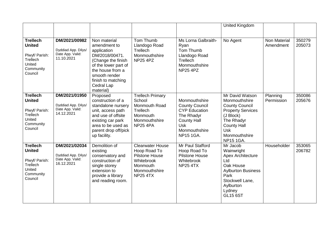|                                                                                                  |                                                                        |                                                                                                                                                                                                   |                                                                                                                                |                                                                                                                                                       | <b>United Kingdom</b>                                                                                                                                                                     |                                  |                  |
|--------------------------------------------------------------------------------------------------|------------------------------------------------------------------------|---------------------------------------------------------------------------------------------------------------------------------------------------------------------------------------------------|--------------------------------------------------------------------------------------------------------------------------------|-------------------------------------------------------------------------------------------------------------------------------------------------------|-------------------------------------------------------------------------------------------------------------------------------------------------------------------------------------------|----------------------------------|------------------|
| <b>Trellech</b><br><b>United</b><br>Plwyf/ Parish:<br>Trellech<br>United<br>Community<br>Council | DM/2021/00982<br>Dyddiad App. Dilys/<br>Date App. Valid:<br>11.10.2021 | Non material<br>amendment to<br>application<br>DM/2018/00471.<br>(Change the finish<br>of the lower part of<br>the house from a<br>smooth render<br>finish to matching<br>Cedral Lap<br>material) | Tom Thumb<br>Llandogo Road<br>Trellech<br>Monmouthshire<br><b>NP25 4PZ</b>                                                     | Ms Lorna Galbraith-<br>Ryan<br>Tom Thumb<br>Llandogo Road<br>Trellech<br>Monmouthshire<br><b>NP25 4PZ</b>                                             | No Agent                                                                                                                                                                                  | <b>Non Material</b><br>Amendment | 350279<br>205073 |
| <b>Trellech</b><br><b>United</b><br>Plwyf/ Parish:<br>Trellech<br>United<br>Community<br>Council | DM/2021/01950<br>Dyddiad App. Dilys/<br>Date App. Valid:<br>14.12.2021 | Proposed<br>construction of a<br>standalone nursery<br>unit, access path<br>and use of offsite<br>existing car park<br>area to be used as<br>parent drop off/pick<br>up facility.                 | Trellech Primary<br>School<br><b>Monmouth Road</b><br>Trellech<br>Monmouth<br>Monmouthshire<br><b>NP25 4PA</b>                 | Monmouthshire<br><b>County Council</b><br><b>CYP Education</b><br>The Rhadyr<br><b>County Hall</b><br><b>Usk</b><br>Monmouthshire<br><b>NP15 1GA.</b> | Mr David Watson<br>Monmouthshire<br><b>County Council</b><br><b>Property Services</b><br>(J Block)<br>The Rhadyr<br><b>County Hall</b><br><b>Usk</b><br>Monmouthshire<br><b>NP15 1GA.</b> | Planning<br>Permission           | 350086<br>205676 |
| <b>Trellech</b><br><b>United</b><br>Plwyf/ Parish:<br>Trellech<br>United<br>Community<br>Council | DM/2021/02034<br>Dyddiad App. Dilys/<br>Date App. Valid:<br>16.12.2021 | Demolition of<br>existing<br>conservatory and<br>construction of<br>single storey<br>extension to<br>provide a library<br>and reading room.                                                       | <b>Clearwater House</b><br>Hoop Road To<br><b>Pilstone House</b><br>Whitebrook<br>Monmouth<br>Monmouthshire<br><b>NP25 4TX</b> | Mr Paul Stafford<br>Hoop Road To<br><b>Pilstone House</b><br>Whitebrook<br><b>NP25 4TX</b>                                                            | Mr Jacob<br>Wainwright<br><b>Apex Architecture</b><br>Ltd<br>Oak House<br><b>Aylburton Business</b><br>Park<br>Stockwell Lane,<br>Aylburton<br>Lydney<br><b>GL15 6ST</b>                  | Householder                      | 353065<br>206782 |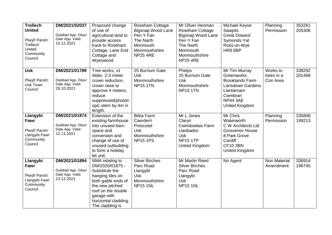| <b>Trellech</b><br><b>United</b><br>Plwyf/ Parish:<br>Trellech<br>United<br>Community<br>Council | DM/2021/02037<br>Dyddiad App. Dilys/<br>Date App. Valid:<br>15.12.2021 | Proposed change<br>of use of<br>agricultural land to<br>provide access<br>track to Roseham<br>Cottage, Lane End<br>Cottage and<br>Wyeswood.                                                       | Roseham Cottage<br>Bigsnap Wood Lane<br>Pen Y Fan<br>The Narth<br>Monmouth<br>Monmouthshire<br><b>NP25 4RE</b> | Mr Oliver Henman<br>Roseham Cottage<br><b>Bigsnap Wood Lane</b><br>Pen Y Fan<br>The Narth<br>Monmouth<br>Monmouthshire<br><b>NP25 4RE</b> | Michael Keyse<br><b>Sawpits</b><br><b>Great Doward</b><br>Symonds Yat<br>Ross-on-Wye<br>HR9 6BP                                               | Planning<br>Permission             | 353261<br>205306 |
|--------------------------------------------------------------------------------------------------|------------------------------------------------------------------------|---------------------------------------------------------------------------------------------------------------------------------------------------------------------------------------------------|----------------------------------------------------------------------------------------------------------------|-------------------------------------------------------------------------------------------------------------------------------------------|-----------------------------------------------------------------------------------------------------------------------------------------------|------------------------------------|------------------|
| <b>Usk</b><br>Plwyf/ Parish:<br>Usk Town<br>Council                                              | DM/2021/01789<br>Dyddiad App. Dilys/<br>Date App. Valid:<br>29.10.2021 | Tree works; x1<br>Alder, 2-3 meter<br>crown reduction,<br>crown raise to<br>approve 4 meters,<br>reduce<br>suppressed/phototr<br>opic stem by 4m in<br>length.                                    | 25 Burrium Gate<br><b>Usk</b><br>Monmouthshire<br><b>NP15 1TN</b>                                              | Phelps<br>25 Burrium Gate<br><b>Usk</b><br>Monmouthshire<br><b>NP15 1TN</b>                                                               | Mr Tim Murray<br>Greenworks<br><b>Brooklands Farm</b><br>Lansdown Gardens<br>Llantarnam<br>Cwmbran<br><b>NP44 3AE</b><br>United Kingdom       | Works to<br>trees in a<br>Con Area | 338292<br>201468 |
| Llangybi<br>Fawr<br>Plwyf/ Parish:<br>Llangybi Fawr<br>Community<br>Council                      | DM/2021/01874<br>Dyddiad App. Dilys/<br>Date App. Valid:<br>12.11.2021 | Extension of the<br>existing farmhouse<br>into unused barn<br>space and<br>conversion and<br>change of use of<br>unused outbuilding<br>to form a holiday<br>let unit.                             | <b>Bittia Farm</b><br>Caerderri<br>Prescoed<br><b>Usk</b><br>Monmouthshire<br><b>NP15 1PS</b>                  | Mr L Jones<br>Claryn<br><b>Cwmdowlais Farm</b><br>Llanbadoc<br><b>Usk</b><br><b>NP15 1TP</b><br>United Kingdom                            | Mr Chris<br>Waterworth<br>C W Architects Ltd<br><b>Grosvenor House</b><br>8 Park Grove<br>Cardiff<br><b>CF10 3BN</b><br><b>United Kingdom</b> | Planning<br>Permission             | 335806<br>199213 |
| Llangybi<br>Fawr<br>Plwyf/ Parish:<br>Llangybi Fawr<br>Community<br>Council                      | DM/2021/01894<br>Dyddiad App. Dilys/<br>Date App. Valid:<br>23.12.2021 | NMA relating to<br>DM/2020/01875 -<br>Substitute the<br>hanging tiles on<br>both gable ends of<br>the new pitched<br>roof on the double<br>garage with<br>horizontal cladding.<br>The cladding is | <b>Silver Birches</b><br>Parc Road<br>Llangybi<br><b>Usk</b><br>Monmouthshire<br><b>NP15 1NL</b>               | Mr Martin Reed<br><b>Silver Birches</b><br>Parc Road<br>Llangybi<br><b>Usk</b><br><b>NP15 1NL</b>                                         | No Agent                                                                                                                                      | <b>Non Material</b><br>Amendment   | 336914<br>196745 |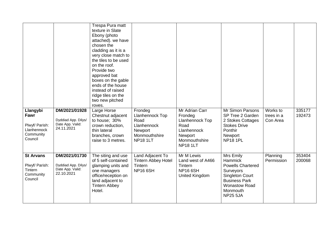| Llangybi                                                              | DM/2021/01928                                                          | Trespa Pura matt<br>texture in Slate<br>Ebony (photo<br>attached). we have<br>chosen the<br>cladding as it is a<br>very close match to<br>the tiles to be used<br>on the roof.<br>Provide two<br>approved bat<br>boxes on the gable<br>ends of the house<br>instead of raised<br>ridge tiles on the<br>two new pitched<br>roves.<br>Large Horse | Frondeg                                                                               | Mr Adrian Carr                                                                                   | <b>Mr Simon Parsons</b>                                                                                                                                                       | Works to               | 335177           |
|-----------------------------------------------------------------------|------------------------------------------------------------------------|-------------------------------------------------------------------------------------------------------------------------------------------------------------------------------------------------------------------------------------------------------------------------------------------------------------------------------------------------|---------------------------------------------------------------------------------------|--------------------------------------------------------------------------------------------------|-------------------------------------------------------------------------------------------------------------------------------------------------------------------------------|------------------------|------------------|
| Fawr<br>Plwyf/ Parish:<br>Llanhennock<br>Community<br>Council         | Dyddiad App. Dilys/<br>Date App. Valid:<br>24.11.2021                  | Chestnut adjacent<br>to house; 30%<br>crown reduction,<br>thin lateral<br>branches, crown<br>raise to 3 metres.                                                                                                                                                                                                                                 | Llanhennock Top<br>Road<br>Llanhennock<br>Newport<br>Monmouthshire<br><b>NP18 1LT</b> | Frondeg<br>Llanhennock Top<br>Road<br>Llanhennock<br>Newport<br>Monmouthshire<br><b>NP18 1LT</b> | SP Tree 2 Garden<br>2 Stokes Cottages<br><b>Stokes Drive</b><br>Ponthir<br>Newport<br><b>NP18 1PL</b>                                                                         | trees in a<br>Con Area | 192473           |
| <b>St Arvans</b><br>Plwyf/ Parish:<br>Tintern<br>Community<br>Council | DM/2021/01730<br>Dyddiad App. Dilys/<br>Date App. Valid:<br>22.10.2021 | The siting and use<br>of 5 self-contained<br>glamping units and<br>one managers<br>office/reception on<br>land adjacent to<br><b>Tintern Abbey</b><br>Hotel.                                                                                                                                                                                    | Land Adjacent To<br><b>Tintern Abbey Hotel</b><br>Tintern<br><b>NP16 6SH</b>          | Mr M Lewis<br>Land west of A466<br>Tintern<br><b>NP16 6SH</b><br>United Kingdom                  | Mrs Emily<br><b>Hammick</b><br><b>Powells Chartered</b><br>Surveyors<br><b>Singleton Court</b><br><b>Business Park</b><br><b>Wonastow Road</b><br>Monmouth<br><b>NP25 5JA</b> | Planning<br>Permission | 353404<br>200068 |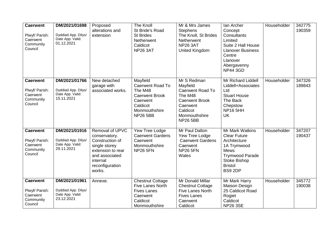| <b>Caerwent</b><br>Plwyf/ Parish:<br>Caerwent<br>Community<br>Council | DM/2021/01698<br>Dyddiad App. Dilys/<br>Date App. Valid:<br>01.12.2021 | Proposed<br>alterations and<br>extension                                                                                                             | <b>The Knoll</b><br>St Bride's Road<br><b>St Brides</b><br>Netherwent<br>Caldicot<br><b>NP26 3AT</b>                                | Mr & Mrs James<br><b>Stephens</b><br>The Knoll, St Brides<br>Netherwent<br><b>NP26 3AT</b><br><b>United Kingdom</b>                                | Ian Archer<br>Concept<br>Consultants<br>Limited<br>Suite 2 Hall House<br><b>Llanover Business</b><br>Centre<br>Llanover<br>Abergavenny<br><b>NP44 3GD</b>          | Householder | 342775<br>190359 |
|-----------------------------------------------------------------------|------------------------------------------------------------------------|------------------------------------------------------------------------------------------------------------------------------------------------------|-------------------------------------------------------------------------------------------------------------------------------------|----------------------------------------------------------------------------------------------------------------------------------------------------|--------------------------------------------------------------------------------------------------------------------------------------------------------------------|-------------|------------------|
| <b>Caerwent</b><br>Plwyf/ Parish:<br>Caerwent<br>Community<br>Council | DM/2021/01766<br>Dyddiad App. Dilys/<br>Date App. Valid:<br>15.11.2021 | New detached<br>garage with<br>associated works.                                                                                                     | Mayfield<br><b>Caerwent Road To</b><br>The M48<br><b>Caerwent Brook</b><br>Caerwent<br>Caldicot<br>Monmouthshire<br><b>NP26 5BB</b> | Mr S Redman<br>Mayfield<br><b>Caerwent Road To</b><br>The M48<br><b>Caerwent Brook</b><br>Caerwent<br>Caldicot<br>Monmouthshire<br><b>NP26 5BB</b> | <b>Mr Richard Liddell</b><br>Liddell+Associates<br>Ltd<br><b>Stuart House</b><br>The Back<br>Chepstow<br><b>NP16 5HH</b><br><b>UK</b>                              | Householder | 347326<br>189843 |
| <b>Caerwent</b><br>Plwyf/ Parish:<br>Caerwent<br>Community<br>Council | DM/2021/01916<br>Dyddiad App. Dilys/<br>Date App. Valid:<br>29.11.2021 | Removal of UPVC<br>conservatory.<br>Construction of<br>single storey<br>extension to rear<br>and associated<br>internal<br>reconfiguration<br>works. | Yew Tree Lodge<br><b>Caerwent Gardens</b><br>Caerwent<br>Monmouthshire<br><b>NP26 5FN</b>                                           | Mr Paul Dalton<br>Yew Tree Lodge<br><b>Caerwent Gardens</b><br>Caerwent<br><b>NP26 5FN</b><br>Wales                                                | Mr Mark Watkins<br><b>Clear Future</b><br>Architecture<br>1A Trymwood<br><b>Mews</b><br><b>Trymwood Parade</b><br><b>Stoke Bishop</b><br><b>Bristol</b><br>BS9 2DP | Householder | 347207<br>190437 |
| <b>Caerwent</b><br>Plwyf/ Parish:<br>Caerwent<br>Community<br>Council | DM/2021/01961<br>Dyddiad App. Dilys/<br>Date App. Valid:<br>23.12.2021 | Annexe.                                                                                                                                              | <b>Chestnut Cottage</b><br><b>Five Lanes North</b><br><b>Fives Lanes</b><br>Caerwent<br>Caldicot<br>Monmouthshire                   | Mr Donald Millar<br><b>Chestnut Cottage</b><br>Five Lanes North<br><b>Fives Lanes</b><br>Caerwent<br>Caldicot                                      | Mr Mark Harry<br>Maison Design<br>25 Caldicot Road<br>Rogiet<br>Caldicot<br><b>NP26 3SE</b>                                                                        | Householder | 345772<br>190038 |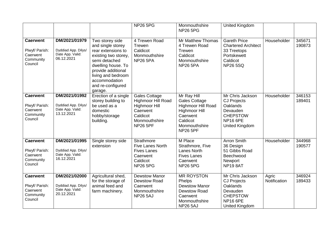|                                                                       |                                                                        |                                                                                                                                                                                                                        | <b>NP26 5PG</b>                                                                                                                | Monmouthshire<br><b>NP26 5PG</b>                                                                                                              | <b>United Kingdom</b>                                                                                                                |                       |                  |
|-----------------------------------------------------------------------|------------------------------------------------------------------------|------------------------------------------------------------------------------------------------------------------------------------------------------------------------------------------------------------------------|--------------------------------------------------------------------------------------------------------------------------------|-----------------------------------------------------------------------------------------------------------------------------------------------|--------------------------------------------------------------------------------------------------------------------------------------|-----------------------|------------------|
| <b>Caerwent</b><br>Plwyf/ Parish:<br>Caerwent<br>Community<br>Council | DM/2021/01979<br>Dyddiad App. Dilys/<br>Date App. Valid:<br>06.12.2021 | Two storey side<br>and single storey<br>rear extensions to<br>existing two storey,<br>semi detached<br>dwelling house. To<br>provide additional<br>living and bedroom<br>accommodation<br>and re-configured<br>garage. | 4 Trewen Road<br>Trewen<br>Caldicot<br>Monmouthshire<br><b>NP26 5PA</b>                                                        | Mr Matthew Thomas<br>4 Trewen Road<br>Trewen<br>Caldicot<br>Monmouthshire<br><b>NP26 5PA</b>                                                  | <b>Gareth Price</b><br><b>Chartered Architect</b><br>33 Treetops<br>Portskewett<br>Caldicot<br><b>NP26 5SQ</b>                       | Householder           | 345671<br>190873 |
| <b>Caerwent</b><br>Plwyf/ Parish:<br>Caerwent<br>Community<br>Council | DM/2021/01992<br>Dyddiad App. Dilys/<br>Date App. Valid:<br>13.12.2021 | Erection of a single<br>storey building to<br>be used as a<br>domestic<br>hobby/storage<br>building.                                                                                                                   | Gales Cottage<br><b>Highmoor Hill Road</b><br><b>Highmoor Hill</b><br>Caerwent<br>Caldicot<br>Monmouthshire<br><b>NP26 5PF</b> | Mr Ray Hill<br><b>Gales Cottage</b><br>Highmoor Hill Road<br><b>Highmoor Hill</b><br>Caerwent<br>Caldicot<br>Monmouthshire<br><b>NP26 5PF</b> | Mr Chris Jackson<br><b>CJ Projects</b><br><b>Oaklands</b><br>Devauden<br><b>CHEPSTOW</b><br><b>NP16 6PE</b><br><b>United Kingdom</b> | Householder           | 346153<br>189401 |
| <b>Caerwent</b><br>Plwyf/ Parish:<br>Caerwent<br>Community<br>Council | DM/2021/01995<br>Dyddiad App. Dilys/<br>Date App. Valid:<br>16.12.2021 | Single storey side<br>extension                                                                                                                                                                                        | <b>Strathmore</b><br><b>Five Lanes North</b><br><b>Fives Lanes</b><br>Caerwent<br>Caldicot<br><b>NP26 5PG</b>                  | M Place<br>Strathmore, Five<br><b>Lanes North</b><br><b>Fives Lanes</b><br>Caerwent<br><b>NP26 5PG</b>                                        | <b>Arron Smith</b><br>36 Design<br>51 Gibbs Road<br>Beechwood<br>Newport<br>NP198AT                                                  | Householder           | 344968<br>190577 |
| <b>Caerwent</b><br>Plwyf/ Parish:<br>Caerwent<br>Community<br>Council | DM/2021/02000<br>Dyddiad App. Dilys/<br>Date App. Valid:<br>20.12.2021 | Agricultural shed,<br>for the storage of<br>animal feed and<br>farm machinery.                                                                                                                                         | <b>Dewstow Manor</b><br><b>Dewstow Road</b><br>Caerwent<br>Monmouthshire<br><b>NP26 5AJ</b>                                    | <b>MR ROYSTON</b><br>Phelps<br><b>Dewstow Manor</b><br>Dewstow Road<br>Caerwent<br>Monmouthshire<br><b>NP26 5AJ</b>                           | Mr Chris Jackson<br><b>CJ Projects</b><br><b>Oaklands</b><br>Devauden<br><b>CHEPSTOW</b><br><b>NP16 6PE</b><br><b>United Kingdom</b> | Agric<br>Notification | 346924<br>189433 |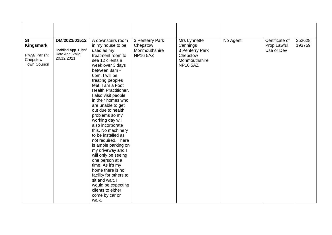| DM/2021/01512<br>3 Penterry Park<br>No Agent<br>Certificate of<br><b>St</b><br>A downstairs room<br>Mrs Lynnette<br><b>Kingsmark</b><br>in my house to be<br>Prop Lawful<br>Chepstow<br>Cannings                                                                                                                                                                                                                                                                                                                                                                                                                                                                                                                                                                                                                                                    |                     |  |  |                  |
|-----------------------------------------------------------------------------------------------------------------------------------------------------------------------------------------------------------------------------------------------------------------------------------------------------------------------------------------------------------------------------------------------------------------------------------------------------------------------------------------------------------------------------------------------------------------------------------------------------------------------------------------------------------------------------------------------------------------------------------------------------------------------------------------------------------------------------------------------------|---------------------|--|--|------------------|
| Monmouthshire<br>3 Penterry Park<br>Use or Dev<br>used as my<br>Date App. Valid:<br>Plwyf/ Parish:<br><b>NP16 5AZ</b><br>treatment room to<br>Chepstow<br>20.12.2021<br>Chepstow<br>Monmouthshire<br>see 12 clients a<br><b>Town Council</b><br><b>NP16 5AZ</b><br>week over 3 days<br>between 8am -<br>6pm. I will be<br>treating peoples<br>feet, I am a Foot<br>Health Practitioner.<br>I also visit people<br>in their homes who<br>are unable to get<br>out due to health<br>problems so my<br>working day will<br>also incorporate<br>this. No machinery<br>to be installed as<br>not required. There<br>is ample parking on<br>my driveway and I<br>will only be seeing<br>one person at a<br>time. As it's my<br>home there is no<br>facility for others to<br>sit and wait. I<br>would be expecting<br>clients to either<br>come by car or | Dyddiad App. Dilys/ |  |  | 352628<br>193759 |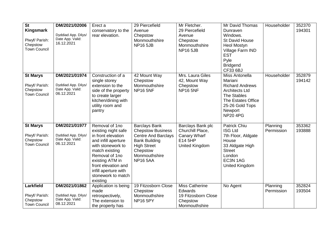| <b>St</b><br><b>Kingsmark</b><br>Plwyf/ Parish:<br>Chepstow<br><b>Town Council</b> | DM/2021/02006<br>Dyddiad App. Dilys/<br>Date App. Valid:<br>16.12.2021 | Erect a<br>conservatory to the<br>rear elevation.                                                                                                                                                                                               | 29 Piercefield<br>Avenue<br>Chepstow<br>Monmouthshire<br><b>NP16 5JB</b>                                                                                                     | Mr Fletcher.<br>29 Piercefield<br>Avenue<br>Chepstow<br>Monmouthshire<br><b>NP16 5JB</b>  | Mr David Thomas<br>Dunraven<br>Windows.<br><b>St David House</b><br><b>Heol Mostyn</b><br>Village Farm IND<br><b>EST</b><br>Pyle<br><b>Bridgend</b><br><b>CF33 6BJ</b>           | Householder            | 352370<br>194301 |
|------------------------------------------------------------------------------------|------------------------------------------------------------------------|-------------------------------------------------------------------------------------------------------------------------------------------------------------------------------------------------------------------------------------------------|------------------------------------------------------------------------------------------------------------------------------------------------------------------------------|-------------------------------------------------------------------------------------------|----------------------------------------------------------------------------------------------------------------------------------------------------------------------------------|------------------------|------------------|
| <b>St Marys</b><br>Plwyf/ Parish:<br>Chepstow<br><b>Town Council</b>               | DM/2021/01974<br>Dyddiad App. Dilys/<br>Date App. Valid:<br>06.12.2021 | Construction of a<br>single storey<br>extension to the<br>side of the property<br>to create larger<br>kitchen/dining with<br>utility room and<br>pantry                                                                                         | 42 Mount Way<br>Chepstow<br>Monmouthshire<br><b>NP16 5NF</b>                                                                                                                 | Mrs. Laura Giles<br>42, Mount Way<br>Chepstow<br><b>NP16 5NF</b>                          | Miss Antonella<br>Mariani<br><b>Richard Andrews</b><br><b>Architects Ltd</b><br><b>The Stables</b><br><b>The Estates Office</b><br>25-26 Gold Tops<br>Newport<br><b>NP20 4PG</b> | Householder            | 352879<br>194142 |
| <b>St Marys</b><br>Plwyf/ Parish:<br>Chepstow<br><b>Town Council</b>               | DM/2021/01977<br>Dyddiad App. Dilys/<br>Date App. Valid:<br>06.12.2021 | Removal of 1no<br>existing night safe<br>in front elevation<br>and infill aperture<br>with stonework to<br>match existing<br>Removal of 1no<br>existing ATM in<br>front elevation and<br>infill aperture with<br>stonework to match<br>existing | <b>Barclays Bank</b><br><b>Chepstow Business</b><br><b>Centre And Barclays</b><br><b>Bank Building</b><br><b>High Street</b><br>Chepstow<br>Monmouthshire<br><b>NP16 5AA</b> | Barclays Bank plc<br>Churchill Place,<br>Canary Wharf<br>E14 5HP<br><b>United Kingdom</b> | <b>Patrick Chiu</b><br><b>ISG Ltd</b><br>7th Floor, Aldgate<br>House<br>33 Aldgate High<br><b>Street</b><br>London<br>EC3N 1AG<br>United Kingdom                                 | Planning<br>Permission | 353362<br>193888 |
| Larkfield<br>Plwyf/ Parish:<br>Chepstow<br><b>Town Council</b>                     | DM/2021/01862<br>Dyddiad App. Dilys/<br>Date App. Valid:<br>08.12.2021 | Application is being<br>made<br>retrospectively,<br>The extension to<br>the property has                                                                                                                                                        | 19 Fitzosborn Close<br>Chepstow<br>Monmouthshire<br><b>NP16 5PY</b>                                                                                                          | <b>Miss Catherine</b><br>Edwards<br>19 Fitzosborn Close<br>Chepstow<br>Monmouthshire      | No Agent                                                                                                                                                                         | Planning<br>Permission | 352824<br>193504 |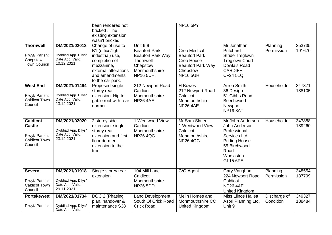|                                                                                       |                                                                        | been rendered not<br>bricked. The<br>existing extension<br>wasn't bricked.                                                                            |                                                                                                                                  | <b>NP16 5PY</b>                                                                                               |                                                                                                                                                   |                           |                  |
|---------------------------------------------------------------------------------------|------------------------------------------------------------------------|-------------------------------------------------------------------------------------------------------------------------------------------------------|----------------------------------------------------------------------------------------------------------------------------------|---------------------------------------------------------------------------------------------------------------|---------------------------------------------------------------------------------------------------------------------------------------------------|---------------------------|------------------|
| <b>Thornwell</b><br>Plwyf/ Parish:<br>Chepstow<br><b>Town Council</b>                 | DM/2021/02013<br>Dyddiad App. Dilys/<br>Date App. Valid:<br>10.12.2021 | Change of use to<br>B1 (office/light<br>industrial) use,<br>completion of<br>mezzanine,<br>external alterations<br>and amendments<br>to the car park. | <b>Unit 6-9</b><br><b>Beaufort Park</b><br><b>Beaufort Park Way</b><br>Thornwell<br>Chepstow<br>Monmouthshire<br><b>NP16 5UH</b> | Creo Medical<br><b>Beaufort Park</b><br>Creo House<br><b>Beaufort Park Way</b><br>Chepstow<br><b>NP16 5UH</b> | Mr Jonathan<br>Pritchard<br>Stride Treglown<br><b>Treglown Court</b><br>Dowlais Road<br><b>CARDIFF</b><br><b>CF24 5LQ</b>                         | Planning<br>Permission    | 353735<br>191670 |
| <b>West End</b><br>Plwyf/ Parish:<br><b>Caldicot Town</b><br>Council                  | DM/2021/01494<br>Dyddiad App. Dilys/<br>Date App. Valid:<br>13.12.2021 | Proposed single<br>storey rear<br>extension. Hip to<br>gable roof with rear<br>dormer.                                                                | 212 Newport Road<br>Caldicot<br>Monmouthshire<br><b>NP26 4AE</b>                                                                 | H Bowes<br>212 Newport Road<br>Caldicot<br>Monmouthshire<br><b>NP26 4AE</b>                                   | <b>Arron Smith</b><br>36 Design<br>51 Gibbs Road<br>Beechwood<br>Newport<br>NP198AT                                                               | Householder               | 347371<br>188105 |
| <b>Caldicot</b><br><b>Castle</b><br>Plwyf/ Parish:<br><b>Caldicot Town</b><br>Council | DM/2021/02020<br>Dyddiad App. Dilys/<br>Date App. Valid:<br>23.12.2021 | 2 storey side<br>extension, single<br>storey rear<br>extension and first<br>floor dormer<br>extension to the<br>front.                                | 1 Wentwood View<br>Caldicot<br>Monmouthshire<br><b>NP26 4QG</b>                                                                  | Mr Sam Slater<br>1 Wentwood View<br>Caldicot<br>Monmouthshire<br><b>NP26 4QG</b>                              | Mr John Anderson<br>John Anderson<br>Professional<br>Services Ltd<br><b>Priding House</b><br>55 Birchwood<br>Road<br>Woolaston<br><b>GL15 6PE</b> | Householder               | 347888<br>189260 |
| <b>Severn</b><br>Plwyf/ Parish:<br><b>Caldicot Town</b><br>Council                    | DM/2021/01918<br>Dyddiad App. Dilys/<br>Date App. Valid:<br>29.11.2021 | Single storey rear<br>extension.                                                                                                                      | 104 Mill Lane<br>Caldicot<br>Monmouthshire<br><b>NP26 5DD</b>                                                                    | C/O Agent                                                                                                     | Gary Vaughan<br>224 Newport Road<br>Caldicot<br><b>NP26 4AE</b><br><b>United Kingdom</b>                                                          | Planning<br>Permission    | 348554<br>187799 |
| <b>Portskewett</b><br>Plwyf/ Parish:                                                  | DM/2021/01734<br>Dyddiad App. Dilys/<br>Date App. Valid:               | DOC 2 (Phasing<br>plan, handover &<br>maintenance S38                                                                                                 | <b>Land Development</b><br>South Of Crick Road<br><b>Crick Road</b>                                                              | Melin Homes and<br>Monmouthshire CC<br><b>United Kingdom</b>                                                  | <b>Miss Llinos Hallett</b><br>Asbri Planning Ltd.<br>Unit 9                                                                                       | Discharge of<br>Condition | 349327<br>188484 |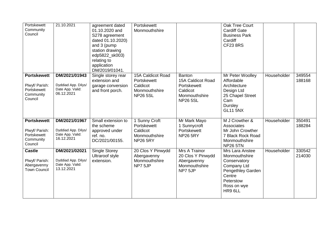| Portskewett<br>Community<br>Council                                         | 21.10.2021                                                             | agreement dated<br>01.10.2020 and<br>S278 agreement<br>dated 01.10.2020)<br>and 3 (pump<br>station drawing<br>edp5822_sk003)<br>relating to<br>application<br>DM/2019/01041. | Portskewett<br>Monmouthshire                                                     |                                                                                            | Oak Tree Court<br><b>Cardiff Gate</b><br><b>Business Park</b><br>Cardiff<br><b>CF23 8RS</b>                                           |             |                  |
|-----------------------------------------------------------------------------|------------------------------------------------------------------------|------------------------------------------------------------------------------------------------------------------------------------------------------------------------------|----------------------------------------------------------------------------------|--------------------------------------------------------------------------------------------|---------------------------------------------------------------------------------------------------------------------------------------|-------------|------------------|
| <b>Portskewett</b><br>Plwyf/ Parish:<br>Portskewett<br>Community<br>Council | DM/2021/01943<br>Dyddiad App. Dilys/<br>Date App. Valid:<br>06.12.2021 | Single storey rear<br>extension and<br>garage conversion<br>and front porch.                                                                                                 | 15A Caldicot Road<br>Portskewett<br>Caldicot<br>Monmouthshire<br><b>NP26 5SL</b> | Banton<br>15A Caldicot Road<br>Portskewett<br>Caldicot<br>Monmouthshire<br><b>NP26 5SL</b> | Mr Peter Woolley<br>Affordable<br>Architecture<br>Design Ltd<br>25 Chapel Street<br>Cam<br><b>Dursley</b><br><b>GL11 5NX</b>          | Householder | 349554<br>188168 |
| <b>Portskewett</b><br>Plwyf/ Parish:<br>Portskewett<br>Community<br>Council | DM/2021/01967<br>Dyddiad App. Dilys/<br>Date App. Valid:<br>16.12.2021 | Small extension to<br>the scheme<br>approved under<br>ref. no.<br>DC/2021/00155.                                                                                             | 1 Sunny Croft<br>Portskewett<br>Caldicot<br>Monmouthshire<br><b>NP26 5RY</b>     | Mr Mark Mayo<br>1 Sunnycroft<br>Portskewett<br><b>NP26 5RY</b>                             | M J Crowther &<br>Associates<br>Mr John Crowther<br>7 Black Rock Road<br>Monmouthshire<br><b>NP26 5TN</b>                             | Householder | 350491<br>188284 |
| <b>Castle</b><br>Plwyf/ Parish:<br>Abergavenny<br><b>Town Council</b>       | DM/2021/02021<br>Dyddiad App. Dilys/<br>Date App. Valid:<br>13.12.2021 | <b>Single Storey</b><br><b>Ultraroof style</b><br>extension.                                                                                                                 | 20 Clos Y Pinwydd<br>Abergavenny<br>Monmouthshire<br>NP7 5JP                     | Mrs A Trainor<br>20 Clos Y Pinwydd<br>Abergavenny<br>Monmouthshire<br>NP7 5JP              | Mrs Lara Anstee<br>Monmouthshire<br>Conservatory<br>Company Ltd<br>Pengethley Garden<br>Centre<br>Peterstow<br>Ross on wye<br>HR9 6LL | Householder | 330542<br>214030 |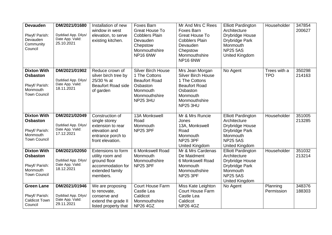| <b>Devauden</b><br>Plwyf/ Parish:<br>Devauden<br>Community<br>Council                      | DM/2021/01680<br>Dyddiad App. Dilys/<br>Date App. Valid:<br>25.10.2021 | Installation of new<br>window in west<br>elevation, to serve<br>existing kitchen.                               | Foxes Barn<br><b>Great House To</b><br><b>Cobblers Plain</b><br>Devauden<br>Chepstow<br>Monmouthshire<br>NP16 6NW       | Mr And Mrs C Rees<br>Foxes Barn<br><b>Great House To</b><br><b>Cobblers Plain</b><br>Devauden<br>Chepstow<br>Monmouthshire<br>NP16 6NW            | <b>Elliott Pardington</b><br>Architecture<br>Drybridge House<br>Drybridge Park<br>Monmouth<br><b>NP25 5AS</b><br><b>United Kingdom</b> | Householder                | 347854<br>200627 |
|--------------------------------------------------------------------------------------------|------------------------------------------------------------------------|-----------------------------------------------------------------------------------------------------------------|-------------------------------------------------------------------------------------------------------------------------|---------------------------------------------------------------------------------------------------------------------------------------------------|----------------------------------------------------------------------------------------------------------------------------------------|----------------------------|------------------|
| <b>Dixton With</b><br><b>Osbaston</b><br>Plwyf/ Parish:<br>Monmouth<br><b>Town Council</b> | DM/2021/01902<br>Dyddiad App. Dilys/<br>Date App. Valid:<br>18.11.2021 | Reduce crown of<br>silver birch tree by<br>25/30 % at<br><b>Beaufort Road side</b><br>of garden                 | <b>Silver Birch House</b><br>1 The Cottons<br><b>Beaufort Road</b><br>Osbaston<br>Monmouth<br>Monmouthshire<br>NP25 3HU | Mrs Jean Morgan<br><b>Silver Birch House</b><br>1 The Cottons<br><b>Beaufort Road</b><br>Osbaston<br>Monmouth<br>Monmouthshire<br><b>NP25 3HU</b> | No Agent                                                                                                                               | Trees with a<br><b>TPO</b> | 350298<br>214163 |
| <b>Dixton With</b><br><b>Osbaston</b><br>Plwyf/ Parish:<br>Monmouth<br><b>Town Council</b> | DM/2021/02049<br>Dyddiad App. Dilys/<br>Date App. Valid:<br>17.12.2021 | Construction of<br>single storey<br>extension to rear<br>elevation and<br>entrance porch to<br>front elevation. | 13A Monkswell<br>Road<br>Monmouth<br><b>NP25 3PF</b>                                                                    | Mr & Mrs Runcie<br>Jones<br>13A, Monkswell<br>Road<br>Monmouth<br><b>NP25 3PF</b><br>United Kingdom                                               | <b>Elliott Pardington</b><br>Architecture<br>Drybridge House<br>Drybridge Park<br>Monmouth<br><b>NP25 5AS</b><br><b>United Kingdom</b> | Householder                | 351005<br>213285 |
| <b>Dixton With</b><br><b>Osbaston</b><br>Plwyf/ Parish:<br>Monmouth<br><b>Town Council</b> | DM/2021/02050<br>Dyddiad App. Dilys/<br>Date App. Valid:<br>18.12.2021 | Extensions to form<br>utility room and<br>ground floor<br>accommodation for<br>extended family<br>members.      | 6 Monkswell Road<br>Monmouth<br>Monmouthshire<br><b>NP25 3PF</b>                                                        | Mr & Mrs Cardenas<br>De Maidment<br>6 Monkswell Road<br>Monmouth<br>Monmouthshire<br><b>NP25 3PF</b>                                              | <b>Elliott Pardington</b><br>Architecture<br>Drybridge House<br>Drybridge Park<br>Monmouth<br><b>NP25 5AS</b><br><b>United Kingdom</b> | Householder                | 351032<br>213214 |
| <b>Green Lane</b><br>Plwyf/ Parish:<br><b>Caldicot Town</b><br>Council                     | DM/2021/01946<br>Dyddiad App. Dilys/<br>Date App. Valid:<br>29.11.2021 | We are proposing<br>to renovate,<br>conserve and<br>extend the grade II<br>listed property that                 | <b>Court House Farm</b><br>Castle Lea<br>Caldicot<br>Monmouthshire<br><b>NP26 4GZ</b>                                   | Miss Kate Leighton<br><b>Court House Farm</b><br>Castle Lea<br>Caldicot<br><b>NP26 4GZ</b>                                                        | No Agent                                                                                                                               | Planning<br>Permission     | 348376<br>188303 |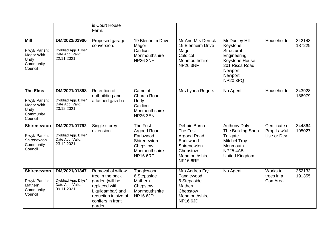|                                                                                 |                                                                        | is Court House<br>Farm.                                                                                                                               |                                                                                                            |                                                                                                                     |                                                                                                                                             |                                             |                  |
|---------------------------------------------------------------------------------|------------------------------------------------------------------------|-------------------------------------------------------------------------------------------------------------------------------------------------------|------------------------------------------------------------------------------------------------------------|---------------------------------------------------------------------------------------------------------------------|---------------------------------------------------------------------------------------------------------------------------------------------|---------------------------------------------|------------------|
| <b>Mill</b><br>Plwyf/ Parish:<br>Magor With<br>Undy<br>Community<br>Council     | DM/2021/01900<br>Dyddiad App. Dilys/<br>Date App. Valid:<br>22.11.2021 | Proposed garage<br>conversion.                                                                                                                        | 19 Blenheim Drive<br>Magor<br>Caldicot<br>Monmouthshire<br><b>NP26 3NF</b>                                 | Mr And Mrs Derrick<br>19 Blenheim Drive<br>Magor<br>Caldicot<br>Monmouthshire<br><b>NP26 3NF</b>                    | Mr Dudley Hill<br>Keystone<br>Structural<br>Engineering<br><b>Keystone House</b><br>201 Risca Road<br>Newport<br>Newport<br><b>NP20 3PQ</b> | Householder                                 | 342143<br>187229 |
| <b>The Elms</b><br>Plwyf/ Parish:<br>Magor With<br>Undy<br>Community<br>Council | DM/2021/01898<br>Dyddiad App. Dilys/<br>Date App. Valid:<br>23.12.2021 | Retention of<br>outbuilding and<br>attached gazebo                                                                                                    | Camelot<br><b>Church Road</b><br>Undy<br>Caldicot<br>Monmouthshire<br><b>NP26 3EN</b>                      | Mrs Lynda Rogers                                                                                                    | No Agent                                                                                                                                    | Householder                                 | 343928<br>186979 |
| <b>Shirenewton</b><br>Plwyf/ Parish:<br>Shirenewton<br>Community<br>Council     | DM/2021/01792<br>Dyddiad App. Dilys/<br>Date App. Valid:<br>23.12.2021 | Single storey<br>extension.                                                                                                                           | The Fost<br><b>Argoed Road</b><br>Earlswood<br>Shirenewton<br>Chepstow<br>Monmouthshire<br><b>NP16 6RF</b> | Debbie Burch<br>The Fost<br>Argoed Road<br>Earlswood<br>Shirenewton<br>Chepstow<br>Monmouthshire<br><b>NP16 6RF</b> | <b>Anthony Daly</b><br>The Building Shop<br>Tollgate<br><b>Mitchel Troy</b><br>Monmouth<br><b>NP25 4AB</b><br><b>United Kingdom</b>         | Certificate of<br>Prop Lawful<br>Use or Dev | 344864<br>195027 |
| <b>Shirenewton</b><br>Plwyf/ Parish:<br>Mathern<br>Community<br>Council         | DM/2021/01847<br>Dyddiad App. Dilys/<br>Date App. Valid:<br>09.11.2021 | Removal of willow<br>tree in the back<br>garden (will be<br>replaced with<br>Liquidambar) and<br>reduction in size of<br>conifers in front<br>garden. | Tanglewood<br>6 Stepaside<br>Mathern<br>Chepstow<br>Monmouthshire<br><b>NP16 6JD</b>                       | Mrs Andrea Fry<br>Tanglewood<br>6 Stepaside<br>Mathern<br>Chepstow<br>Monmouthshire<br><b>NP16 6JD</b>              | No Agent                                                                                                                                    | Works to<br>trees in a<br>Con Area          | 352133<br>191355 |